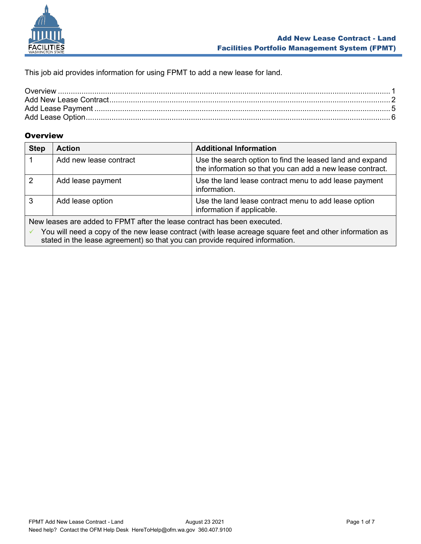

This job aid provides information for using FPMT to add a new lease for land.

#### <span id="page-0-0"></span>**Overview**

| <b>Step</b>                                                                                             | <b>Action</b>          | <b>Additional Information</b>                                                                                         |
|---------------------------------------------------------------------------------------------------------|------------------------|-----------------------------------------------------------------------------------------------------------------------|
|                                                                                                         | Add new lease contract | Use the search option to find the leased land and expand<br>the information so that you can add a new lease contract. |
| 2                                                                                                       | Add lease payment      | Use the land lease contract menu to add lease payment<br>information.                                                 |
| 3                                                                                                       | Add lease option       | Use the land lease contract menu to add lease option<br>information if applicable.                                    |
| New leases are added to FPMT after the lease contract has been executed.                                |                        |                                                                                                                       |
| You will need a copy of the new lease contract (with lease acreage square feet and other information as |                        |                                                                                                                       |

stated in the lease agreement) so that you can provide required information.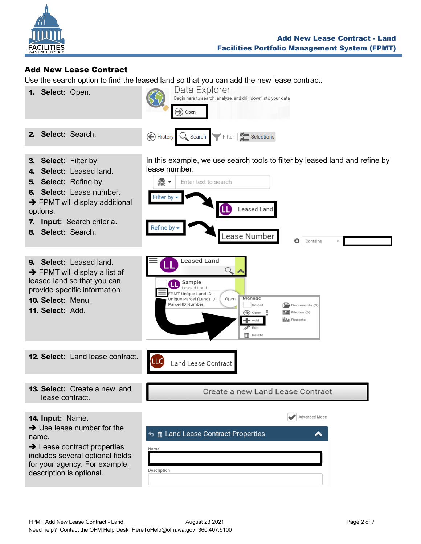

#### <span id="page-1-0"></span>Add New Lease Contract

Use the search option to find the leased land so that you can add the new lease contract.

lease number.

 $\frac{1}{2}$ 

**Filter by** 

Refine by -

LLC

1. **Select:** Open.



Enter text to search

**Leased Land** 

Sample Leased Land FPMT Unique Land ID:

Parcel ID Number

.<br>Unique Parcel (Land) ID:

**Land Lease Contract** 

3. **Select:** Filter by.

2. **Select:** Search.

- 4. **Select:** Leased land.
- 5. **Select:** Refine by.
- 6. **Select:** Lease number.
- $\rightarrow$  FPMT will display additional
- options.
- 7. **Input:** Search criteria.
- 8. **Select:** Search.

9. **Select:** Leased land. ➔ FPMT will display a list of leased land so that you can provide specific information.

- 10. **Select:** Menu.
- 11. **Select:** Add.

12. **Select:** Land lease contract.

13. **Select:** Create a new land lease contract.

Create a new Land Lease Contract

In this example, we use search tools to filter by leased land and refine by

Ω

 $\sqrt{\frac{m}{n}}$  Documents (0)

Advanced Mode

 $\boxed{\phantom{1}2}$  Photos (0)

**I**II Reports

Contains

Leased Land

Lease Number

Manage

 $\blacktriangleleft$  Add Edit  $\overline{\mathbb{III}}$  Delete

Select

 $\bigcirc$  Open :

 $\bigcirc$ 

Open

14. **Input:** Name.

 $\rightarrow$  Use lease number for the name.

 $\rightarrow$  Lease contract properties includes several optional fields for your agency. For example, description is optional.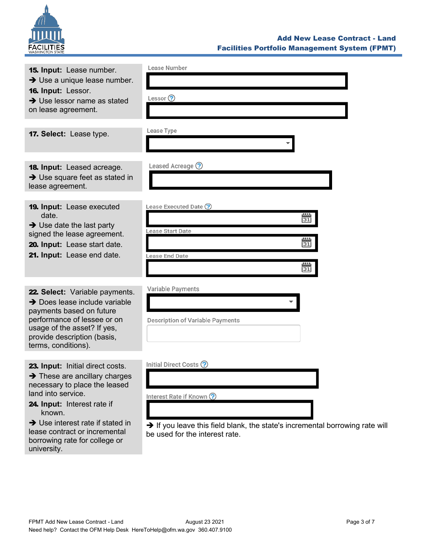

| <b>15. Input:</b> Lease number.<br>$\rightarrow$ Use a unique lease number.<br>16. Input: Lessor.<br>$\rightarrow$ Use lessor name as stated<br>on lease agreement.                                                                                            | Lease Number<br>Lessor $\odot$                                                                                                                                       |
|----------------------------------------------------------------------------------------------------------------------------------------------------------------------------------------------------------------------------------------------------------------|----------------------------------------------------------------------------------------------------------------------------------------------------------------------|
| 17. Select: Lease type.                                                                                                                                                                                                                                        | Lease Type                                                                                                                                                           |
| <b>18. Input:</b> Leased acreage.<br>→ Use square feet as stated in<br>lease agreement.                                                                                                                                                                        | Leased Acreage ?                                                                                                                                                     |
| <b>19. Input:</b> Lease executed<br>date.<br>$\rightarrow$ Use date the last party<br>signed the lease agreement.<br>20. Input: Lease start date.<br>21. Input: Lease end date.                                                                                | Lease Executed Date ?<br><u>uu</u><br>31<br>Lease Start Date<br><u>uu</u><br>31<br>Lease End Date<br>$\overline{31}$                                                 |
| 22. Select: Variable payments.<br>$\rightarrow$ Does lease include variable<br>payments based on future<br>performance of lessee or on<br>usage of the asset? If yes,<br>provide description (basis,<br>terms, conditions).                                    | Variable Payments<br>Description of Variable Payments                                                                                                                |
| 23. Input: Initial direct costs.<br>$\rightarrow$ These are ancillary charges<br>necessary to place the leased<br>land into service.<br>24. Input: Interest rate if<br>known.<br>$\rightarrow$ Use interest rate if stated in<br>lease contract or incremental | Initial Direct Costs ?<br>Interest Rate if Known ?<br>→ If you leave this field blank, the state's incremental borrowing rate will<br>be used for the interest rate. |

borrowing rate for college or

university.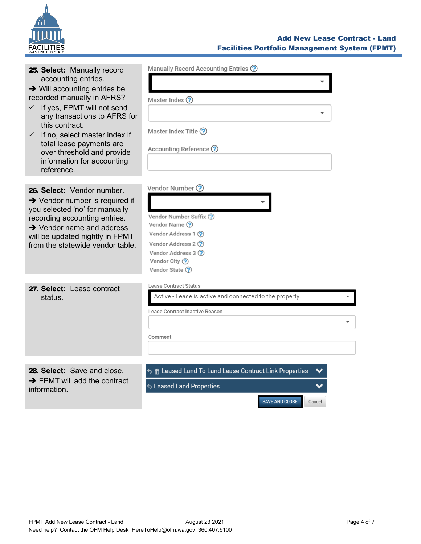

### Add New Lease Contract - Land Facilities Portfolio Management System (FPMT)

| 25. Select: Manually record<br>accounting entries.<br>$\rightarrow$ Will accounting entries be<br>recorded manually in AFRS?<br>If yes, FPMT will not send<br>$\checkmark$<br>any transactions to AFRS for<br>this contract.<br>$\checkmark$ If no, select master index if<br>total lease payments are<br>over threshold and provide<br>information for accounting<br>reference. | Manually Record Accounting Entries ?<br>Master Index ?<br>Master Index Title ?<br>Accounting Reference ?                                                              |
|----------------------------------------------------------------------------------------------------------------------------------------------------------------------------------------------------------------------------------------------------------------------------------------------------------------------------------------------------------------------------------|-----------------------------------------------------------------------------------------------------------------------------------------------------------------------|
| 26. Select: Vendor number.<br>$\rightarrow$ Vendor number is required if<br>you selected 'no' for manually<br>recording accounting entries.<br>$\rightarrow$ Vendor name and address<br>will be updated nightly in FPMT<br>from the statewide vendor table.                                                                                                                      | Vendor Number ?<br>Vendor Number Suffix ?<br>Vendor Name (?)<br>Vendor Address 1 ?<br>Vendor Address 2 ?<br>Vendor Address 3 (?)<br>Vendor City ?<br>Vendor State (?) |
| 27. Select: Lease contract<br>status.                                                                                                                                                                                                                                                                                                                                            | <b>Lease Contract Status</b><br>Active - Lease is active and connected to the property.<br>Lease Contract Inactive Reason<br>Comment                                  |
| 28. Select: Save and close.<br>$\rightarrow$ FPMT will add the contract<br>information.                                                                                                                                                                                                                                                                                          | <b>う m</b> Leased Land To Land Lease Contract Link Properties<br><b>S Leased Land Properties</b><br><b>SAVE AND CLOSE</b><br>Cancel                                   |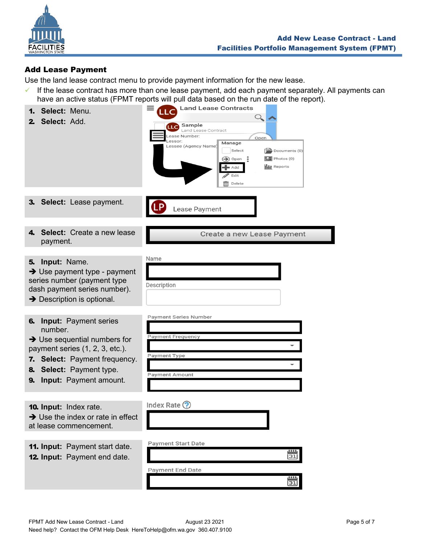

## <span id="page-4-0"></span>Add Lease Payment

Use the land lease contract menu to provide payment information for the new lease.

 $\checkmark$  If the lease contract has more than one lease payment, add each payment separately. All payments can have an active status (FPMT reports will pull data based on the run date of the report).

| Select: Menu.<br>1.<br>Select: Add.<br>$\mathbf{2}$                                                                                                                                                                              | nave an active status (FPMT reports will pull data based on the run date of the report).<br><b>Land Lease Contracts</b><br>LLC<br>$\Omega_{\bullet}$<br><b>LLC</b> Sample<br>Land Lease Contract<br>Lease Number:<br>Open<br>Lessor:<br>Manage<br>Lessee (Agency Name)<br>Select<br>$\left[\frac{1-\kappa}{\kappa}\right]$ Documents (0)<br>$\boxed{\phantom{1}2}$ Photos (0)<br>÷<br>$\left( \bigoplus \right)$ Open<br><b>III</b> Reports<br>Add<br>Edit |
|----------------------------------------------------------------------------------------------------------------------------------------------------------------------------------------------------------------------------------|------------------------------------------------------------------------------------------------------------------------------------------------------------------------------------------------------------------------------------------------------------------------------------------------------------------------------------------------------------------------------------------------------------------------------------------------------------|
|                                                                                                                                                                                                                                  | <b>TTT</b> Delete                                                                                                                                                                                                                                                                                                                                                                                                                                          |
| 3. Select: Lease payment.                                                                                                                                                                                                        | Lease Payment                                                                                                                                                                                                                                                                                                                                                                                                                                              |
| Select: Create a new lease<br>4.<br>payment.                                                                                                                                                                                     | Create a new Lease Payment                                                                                                                                                                                                                                                                                                                                                                                                                                 |
| Input: Name.<br>5.<br>→ Use payment type - payment<br>series number (payment type<br>dash payment series number).<br>$\rightarrow$ Description is optional.                                                                      | Name<br>Description                                                                                                                                                                                                                                                                                                                                                                                                                                        |
| <b>Input: Payment series</b><br>6.<br>number.<br>$\rightarrow$ Use sequential numbers for<br>payment series (1, 2, 3, etc.).<br>7. Select: Payment frequency.<br>8. Select: Payment type.<br><b>Input:</b> Payment amount.<br>9. | <b>Payment Series Number</b><br><b>Payment Frequency</b><br>Payment Type<br><b>Payment Amount</b>                                                                                                                                                                                                                                                                                                                                                          |
| 10. Input: Index rate.<br>$\rightarrow$ Use the index or rate in effect<br>at lease commencement.                                                                                                                                | Index Rate $\odot$                                                                                                                                                                                                                                                                                                                                                                                                                                         |
| <b>11. Input: Payment start date.</b><br>12. Input: Payment end date.                                                                                                                                                            | <b>Payment Start Date</b><br><u>.</u><br>31<br><b>Payment End Date</b><br>31                                                                                                                                                                                                                                                                                                                                                                               |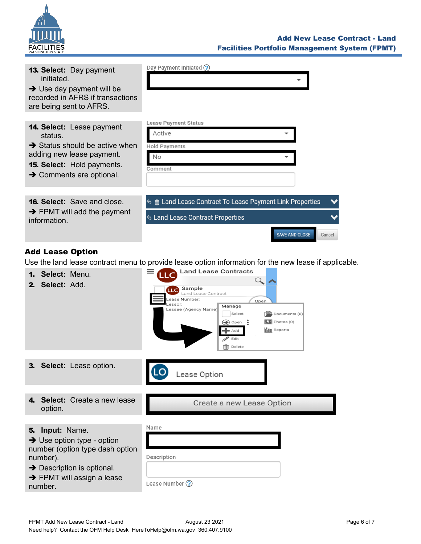

| <b>13. Select: Day payment</b><br>initiated.<br>$\rightarrow$ Use day payment will be<br>recorded in AFRS if transactions<br>are being sent to AFRS.                                         | Day Payment Initiated ?                                                                                                                                                                                                                                                                                                                                                                                                                                                   |
|----------------------------------------------------------------------------------------------------------------------------------------------------------------------------------------------|---------------------------------------------------------------------------------------------------------------------------------------------------------------------------------------------------------------------------------------------------------------------------------------------------------------------------------------------------------------------------------------------------------------------------------------------------------------------------|
| 14. Select: Lease payment<br>status.<br>$\rightarrow$ Status should be active when<br>adding new lease payment.<br><b>15. Select:</b> Hold payments.<br>$\rightarrow$ Comments are optional. | Lease Payment Status<br>Active<br><b>Hold Payments</b><br>No<br>Comment                                                                                                                                                                                                                                                                                                                                                                                                   |
| <b>16. Select:</b> Save and close.<br>→ FPMT will add the payment<br>information.                                                                                                            | <b>う m</b> Land Lease Contract To Lease Payment Link Properties<br><b>6 Land Lease Contract Properties</b><br><b>SAVE AND CLOSE</b><br>Cancel                                                                                                                                                                                                                                                                                                                             |
|                                                                                                                                                                                              |                                                                                                                                                                                                                                                                                                                                                                                                                                                                           |
| <b>Add Lease Option</b>                                                                                                                                                                      |                                                                                                                                                                                                                                                                                                                                                                                                                                                                           |
| 1. Select: Menu.<br>2. Select: Add.                                                                                                                                                          | Use the land lease contract menu to provide lease option information for the new lease if applicable.<br><b>Land Lease Contracts</b><br>$Q_{\bullet}$<br>Sample<br><b>LLC</b><br>Land Lease Contract<br>Lease Number:<br>Open<br>.essor:<br>Manage<br>Lessee (Agency Name)<br>Select<br>$\left[\frac{1-\kappa}{\kappa}\right]$ Documents (0)<br>$\boxed{5}$ Photos (0)<br>$\bigcirc$ Open<br>÷<br><b>III</b> Reports<br>■ Add<br>Edit<br>$\overline{\mathsf{III}}$ Delete |
| <b>Select:</b> Lease option.                                                                                                                                                                 |                                                                                                                                                                                                                                                                                                                                                                                                                                                                           |
|                                                                                                                                                                                              | Lease Option                                                                                                                                                                                                                                                                                                                                                                                                                                                              |
| Select: Create a new lease<br>4                                                                                                                                                              |                                                                                                                                                                                                                                                                                                                                                                                                                                                                           |
| option.                                                                                                                                                                                      | Create a new Lease Option                                                                                                                                                                                                                                                                                                                                                                                                                                                 |
|                                                                                                                                                                                              |                                                                                                                                                                                                                                                                                                                                                                                                                                                                           |

<span id="page-5-0"></span>5. **Input:** Name.

→ Use option type - opti number (option type das number).

**→** Description is optional

 $\rightarrow$  FPMT will assign a lease number.

|                  | Name           |
|------------------|----------------|
| ion<br>sh option |                |
|                  | Description    |
| al.              |                |
| ease             | Lease Number ? |